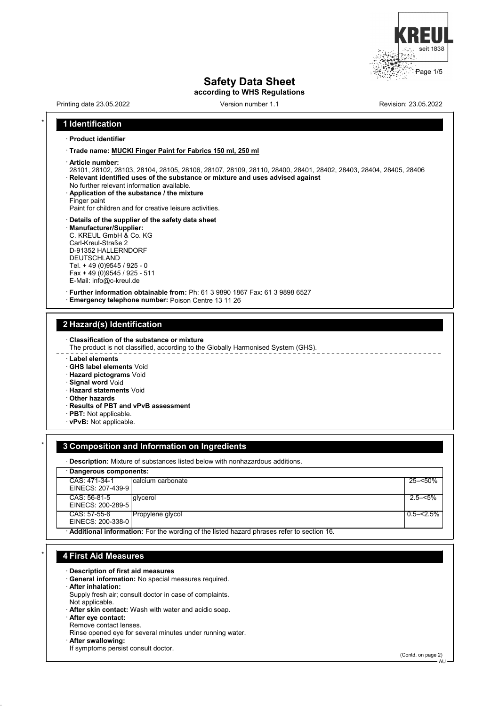

# **Safety Data Sheet**

**according to WHS Regulations**

Printing date 23.05.2022 Version number 1.1 Revision: 23.05.2022

## \* **1 Identification**

#### · **Product identifier**

· **Trade name: MUCKI Finger Paint for Fabrics 150 ml, 250 ml**

- · **Article number:**
- 28101, 28102, 28103, 28104, 28105, 28106, 28107, 28109, 28110, 28400, 28401, 28402, 28403, 28404, 28405, 28406 · **Relevant identified uses of the substance or mixture and uses advised against**
- No further relevant information available.
- · **Application of the substance / the mixture**
- Finger paint

Paint for children and for creative leisure activities.

- · **Details of the supplier of the safety data sheet**
- · **Manufacturer/Supplier:**
- C. KREUL GmbH & Co. KG Carl-Kreul-Straße 2
- 
- D-91352 HALLERNDORF
- DEUTSCHLAND
- Tel. + 49 (0)9545 / 925 0 Fax + 49 (0)9545 / 925 - 511
- E-Mail: info@c-kreul.de
- · **Further information obtainable from:** Ph: 61 3 9890 1867 Fax: 61 3 9898 6527
- · **Emergency telephone number:** Poison Centre 13 11 26

#### **2 Hazard(s) Identification**

· **Classification of the substance or mixture**

- The product is not classified, according to the Globally Harmonised System (GHS).
- · **Label elements**
- · **GHS label elements** Void
- · **Hazard pictograms** Void
- · **Signal word** Void
- · **Hazard statements** Void
- · **Other hazards**
- · **Results of PBT and vPvB assessment**
- · **PBT:** Not applicable.
- · **vPvB:** Not applicable.

#### \* **3 Composition and Information on Ingredients**

· **Description:** Mixture of substances listed below with nonhazardous additions.

| · Dangerous components:            |                                                                                           |             |
|------------------------------------|-------------------------------------------------------------------------------------------|-------------|
| CAS: 471-34-1<br>EINECS: 207-439-9 | I calcium carbonate                                                                       | 25–<50%     |
|                                    |                                                                                           |             |
| CAS: 56-81-5<br>EINECS: 200-289-5  | l alvcerol                                                                                | $2.5 - 5\%$ |
| CAS: 57-55-6<br>EINECS: 200-338-0  | Propylene glycol                                                                          | l 0.5–<2.5% |
|                                    | Additional information: For the wording of the listed hazard phrases refer to section 16. |             |

## \* **4 First Aid Measures**

- · **Description of first aid measures**
- General information: No special measures required.
- · **After inhalation:**
- Supply fresh air; consult doctor in case of complaints. Not applicable.
- · **After skin contact:** Wash with water and acidic soap. · **After eye contact:**
- Remove contact lenses.
- Rinse opened eye for several minutes under running water.
- · **After swallowing:**
- If symptoms persist consult doctor.

(Contd. on page 2)

AU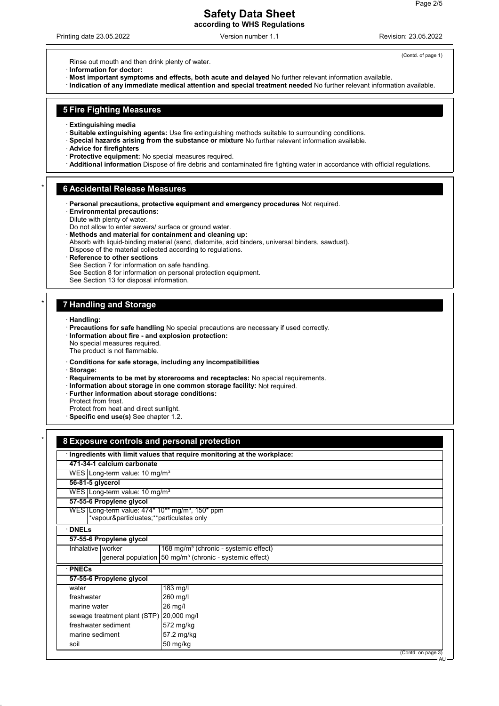# **Safety Data Sheet according to WHS Regulations**

Printing date 23.05.2022 Version number 1.1 Revision: 23.05.2022

(Contd. of page 1)

Rinse out mouth and then drink plenty of water.

· **Information for doctor:**

· **Most important symptoms and effects, both acute and delayed** No further relevant information available.

· **Indication of any immediate medical attention and special treatment needed** No further relevant information available.

#### **5 Fire Fighting Measures**

- · **Extinguishing media**
- · **Suitable extinguishing agents:** Use fire extinguishing methods suitable to surrounding conditions.
- · **Special hazards arising from the substance or mixture** No further relevant information available.
- · **Advice for firefighters**
- · **Protective equipment:** No special measures required.
- · **Additional information** Dispose of fire debris and contaminated fire fighting water in accordance with official regulations.

#### \* **6 Accidental Release Measures**

- · **Personal precautions, protective equipment and emergency procedures** Not required.
- · **Environmental precautions:**
- Dilute with plenty of water.
- Do not allow to enter sewers/ surface or ground water.
- · **Methods and material for containment and cleaning up:**
- Absorb with liquid-binding material (sand, diatomite, acid binders, universal binders, sawdust).
- Dispose of the material collected according to regulations.

#### · **Reference to other sections**

- See Section 7 for information on safe handling.
- See Section 8 for information on personal protection equipment.
- See Section 13 for disposal information.

## \* **7 Handling and Storage**

- · **Handling:**
- · **Precautions for safe handling** No special precautions are necessary if used correctly.
- · **Information about fire and explosion protection:**
- No special measures required.
- The product is not flammable.
- · **Conditions for safe storage, including any incompatibilities**
- · **Storage:**
- · **Requirements to be met by storerooms and receptacles:** No special requirements.
- · **Information about storage in one common storage facility:** Not required.
- · **Further information about storage conditions:**
- Protect from frost.
- Protect from heat and direct sunlight.
- · **Specific end use(s)** See chapter 1.2.

|                                                                                                        | Ingredients with limit values that require monitoring at the workplace: |  |  |
|--------------------------------------------------------------------------------------------------------|-------------------------------------------------------------------------|--|--|
| 471-34-1 calcium carbonate                                                                             |                                                                         |  |  |
| WES Long-term value: $10 \text{ mg/m}^3$                                                               |                                                                         |  |  |
| 56-81-5 glycerol                                                                                       |                                                                         |  |  |
| WES   Long-term value: 10 mg/m <sup>3</sup>                                                            |                                                                         |  |  |
| 57-55-6 Propylene glycol                                                                               |                                                                         |  |  |
| WES Long-term value: 474* 10** mg/m <sup>3</sup> , 150* ppm<br>*vapour&particluates**particulates only |                                                                         |  |  |
| <b>DNELs</b>                                                                                           |                                                                         |  |  |
| 57-55-6 Propylene glycol                                                                               |                                                                         |  |  |
| Inhalative worker                                                                                      | $168 \,\mathrm{mg/m^3}$ (chronic - systemic effect)                     |  |  |
|                                                                                                        | general population 50 mg/m <sup>3</sup> (chronic - systemic effect)     |  |  |
| · PNECs                                                                                                |                                                                         |  |  |
| 57-55-6 Propylene glycol                                                                               |                                                                         |  |  |
| water                                                                                                  | 183 mg/l                                                                |  |  |
| freshwater                                                                                             | 260 mg/l                                                                |  |  |
| marine water                                                                                           | 26 mg/l                                                                 |  |  |
| sewage treatment plant (STP)                                                                           | 20,000 mg/l                                                             |  |  |
| freshwater sediment                                                                                    | 572 mg/kg                                                               |  |  |
| marine sediment                                                                                        | 57.2 mg/kg                                                              |  |  |
| soil                                                                                                   | 50 mg/kg                                                                |  |  |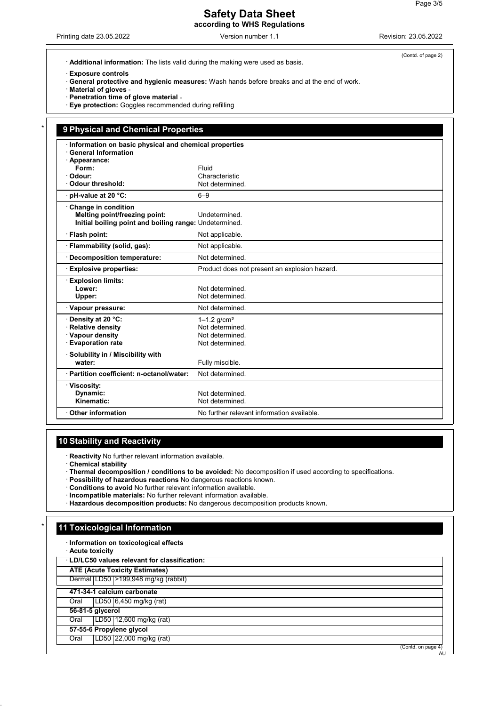## **Safety Data Sheet according to WHS Regulations**

· **Exposure controls**

· **General protective and hygienic measures:** Wash hands before breaks and at the end of work.

· **Material of gloves** -

- · **Penetration time of glove material** -
- · **Eye protection:** Goggles recommended during refilling

| Information on basic physical and chemical properties<br><b>General Information</b> |                                               |
|-------------------------------------------------------------------------------------|-----------------------------------------------|
| · Appearance:                                                                       |                                               |
| Form:                                                                               | Fluid                                         |
| · Odour:                                                                            | Characteristic                                |
| Odour threshold:                                                                    | Not determined.                               |
| pH-value at 20 °C:                                                                  | $6 - 9$                                       |
| Change in condition                                                                 |                                               |
| Melting point/freezing point:                                                       | Undetermined                                  |
| Initial boiling point and boiling range: Undetermined.                              |                                               |
| · Flash point:                                                                      | Not applicable.                               |
| · Flammability (solid, gas):                                                        | Not applicable.                               |
| <b>Decomposition temperature:</b>                                                   | Not determined.                               |
| <b>Explosive properties:</b>                                                        | Product does not present an explosion hazard. |
| <b>Explosion limits:</b>                                                            |                                               |
| Lower:                                                                              | Not determined.                               |
| Upper:                                                                              | Not determined.                               |
| · Vapour pressure:                                                                  | Not determined.                               |
| Density at 20 °C:                                                                   | $1 - 1.2$ g/cm <sup>3</sup>                   |
| <b>Relative density</b>                                                             | Not determined.                               |
| · Vapour density                                                                    | Not determined.                               |
| <b>Evaporation rate</b>                                                             | Not determined.                               |
| · Solubility in / Miscibility with                                                  |                                               |
| water:                                                                              | Fully miscible.                               |
| · Partition coefficient: n-octanol/water:                                           | Not determined.                               |
| · Viscosity:                                                                        |                                               |
| Dynamic:                                                                            | Not determined.                               |
| Kinematic:                                                                          | Not determined.                               |

# **10 Stability and Reactivity**

· **Reactivity** No further relevant information available.

- · **Chemical stability**
- · **Thermal decomposition / conditions to be avoided:** No decomposition if used according to specifications.
- · **Possibility of hazardous reactions** No dangerous reactions known.
- · **Conditions to avoid** No further relevant information available.
- · **Incompatible materials:** No further relevant information available.
- · **Hazardous decomposition products:** No dangerous decomposition products known.

## **11 Toxicological Information**

- · **Information on toxicological effects**
- · **Acute toxicity**
- · **LD/LC50 values relevant for classification:**
- **ATE (Acute Toxicity Estimates)**

Dermal LD50 >199,948 mg/kg (rabbit)

- **471-34-1 calcium carbonate**
- Oral LD50 6,450 mg/kg (rat)
- **56-81-5 glycerol**
- Oral LD50 12,600 mg/kg (rat)

**57-55-6 Propylene glycol** Oral LD50 22,000 mg/kg (rat)

(Contd. on page

(Contd. of page 2)

AU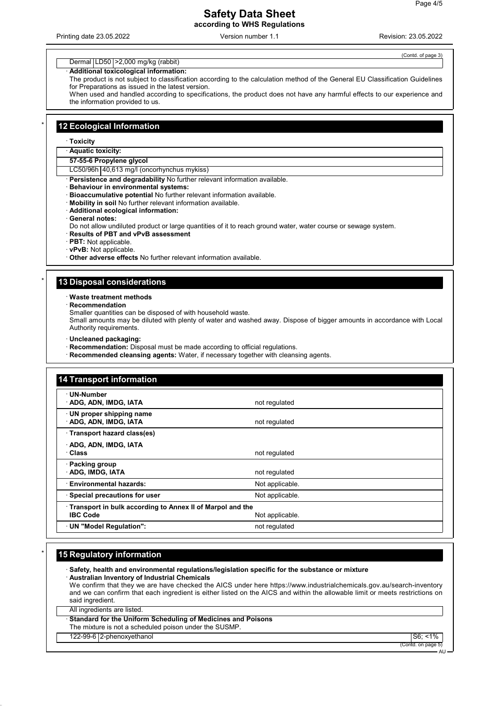## **Safety Data Sheet according to WHS Regulations**

Printing date 23.05.2022 Version number 1.1 Revision: 23.05.2022

 $(Contd$  of page

#### Dermal | LD50 | > 2,000 mg/kg (rabbit)

#### · **Additional toxicological information:**

The product is not subject to classification according to the calculation method of the General EU Classification Guidelines for Preparations as issued in the latest version.

When used and handled according to specifications, the product does not have any harmful effects to our experience and the information provided to us.

#### **12 Ecological Information**

#### · **Toxicity**

· **Aquatic toxicity:**

#### **57-55-6 Propylene glycol**

LC50/96h 40,613 mg/l (oncorhynchus mykiss)

**Persistence and degradability** No further relevant information available.

- · **Behaviour in environmental systems:**
- · **Bioaccumulative potential** No further relevant information available.
- · **Mobility in soil** No further relevant information available.
- · **Additional ecological information:**
- · **General notes:**

Do not allow undiluted product or large quantities of it to reach ground water, water course or sewage system.

- · **Results of PBT and vPvB assessment**
- · **PBT:** Not applicable.
- · **vPvB:** Not applicable.
- · **Other adverse effects** No further relevant information available.

## **13 Disposal considerations**

· **Waste treatment methods**

· **Recommendation**

Smaller quantities can be disposed of with household waste.

Small amounts may be diluted with plenty of water and washed away. Dispose of bigger amounts in accordance with Local Authority requirements.

- · **Uncleaned packaging:**
- · **Recommendation:** Disposal must be made according to official regulations.
- · **Recommended cleansing agents:** Water, if necessary together with cleansing agents.

| <b>14 Transport information</b>                                                |                 |
|--------------------------------------------------------------------------------|-----------------|
| · UN-Number<br>· ADG, ADN, IMDG, IATA                                          | not regulated   |
| UN proper shipping name<br>· ADG, ADN, IMDG, IATA                              | not regulated   |
| · Transport hazard class(es)                                                   |                 |
| ADG, ADN, IMDG, IATA<br>· Class                                                | not regulated   |
| · Packing group<br><b>ADG, IMDG, IATA</b>                                      | not regulated   |
| <b>Environmental hazards:</b>                                                  | Not applicable. |
| · Special precautions for user                                                 | Not applicable. |
| · Transport in bulk according to Annex II of Marpol and the<br><b>IBC Code</b> | Not applicable. |
| · UN "Model Regulation":                                                       | not regulated   |

#### **15 Regulatory information**

· **Safety, health and environmental regulations/legislation specific for the substance or mixture** · **Australian Inventory of Industrial Chemicals** We confirm that they we are have checked the AICS under here https://www.industrialchemicals.gov.au/search-inventory and we can confirm that each ingredient is either listed on the AICS and within the allowable limit or meets restrictions on said ingredient.

All ingredients are listed.

· **Standard for the Uniform Scheduling of Medicines and Poisons**

- The mixture is not a scheduled poison under the SUSMP.
- 122-99-6 2-phenoxyethanol S6; <1%

(Contd. on page 5) AU